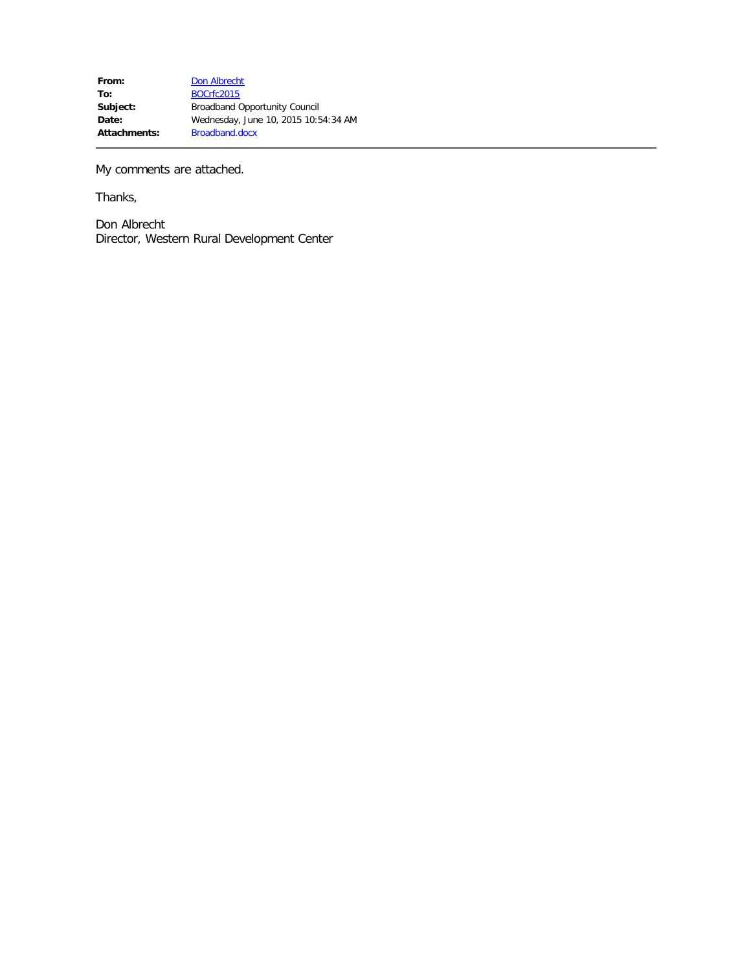My comments are attached.

Thanks,

Don Albrecht Director, Western Rural Development Center